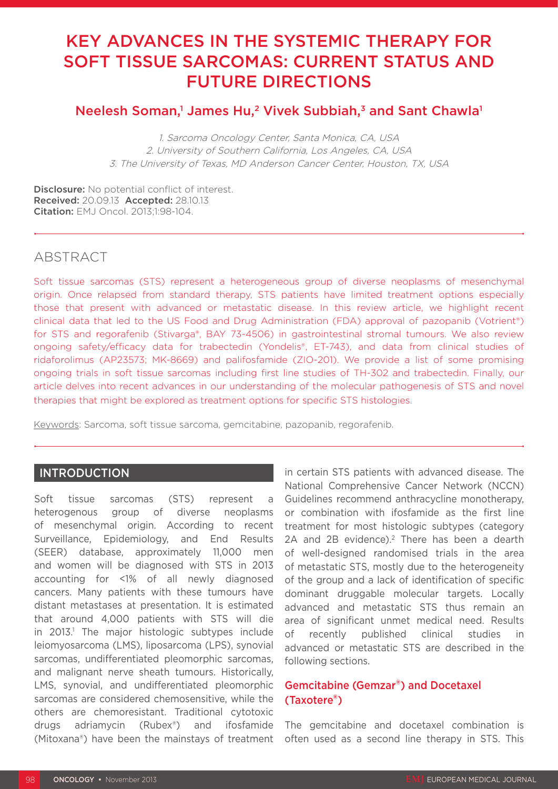# KEY ADVANCES IN THE SYSTEMIC THERAPY FOR SOFT TISSUE SARCOMAS: CURRENT STATUS AND FUTURE DIRECTIONS

# Neelesh Soman,1 James Hu,<sup>2</sup> Vivek Subbiah,<sup>3</sup> and Sant Chawla<sup>1</sup>

1. Sarcoma Oncology Center, Santa Monica, CA, USA 2. University of Southern California, Los Angeles, CA, USA 3. The University of Texas, MD Anderson Cancer Center, Houston, TX, USA

Disclosure: No potential conflict of interest. Received: 20.09.13 Accepted: 28.10.13 Citation: EMJ Oncol. 2013;1:98-104.

## ABSTRACT

Soft tissue sarcomas (STS) represent a heterogeneous group of diverse neoplasms of mesenchymal origin. Once relapsed from standard therapy, STS patients have limited treatment options especially those that present with advanced or metastatic disease. In this review article, we highlight recent clinical data that led to the US Food and Drug Administration (FDA) approval of pazopanib (Votrient®) for STS and regorafenib (Stivarga®, BAY 73-4506) in gastrointestinal stromal tumours. We also review ongoing safety/efficacy data for trabectedin (Yondelis®, ET-743), and data from clinical studies of ridaforolimus (AP23573; MK-8669) and palifosfamide (ZIO-201). We provide a list of some promising ongoing trials in soft tissue sarcomas including first line studies of TH-302 and trabectedin. Finally, our article delves into recent advances in our understanding of the molecular pathogenesis of STS and novel therapies that might be explored as treatment options for specific STS histologies.

Keywords: Sarcoma, soft tissue sarcoma, gemcitabine, pazopanib, regorafenib.

## **INTRODUCTION**

Soft tissue sarcomas (STS) represent a heterogenous group of diverse neoplasms of mesenchymal origin. According to recent Surveillance, Epidemiology, and End Results (SEER) database, approximately 11,000 men and women will be diagnosed with STS in 2013 accounting for <1% of all newly diagnosed cancers. Many patients with these tumours have distant metastases at presentation. It is estimated that around 4,000 patients with STS will die in 2013.1 The major histologic subtypes include leiomyosarcoma (LMS), liposarcoma (LPS), synovial sarcomas, undifferentiated pleomorphic sarcomas, and malignant nerve sheath tumours. Historically, LMS, synovial, and undifferentiated pleomorphic sarcomas are considered chemosensitive, while the others are chemoresistant. Traditional cytotoxic drugs adriamycin (Rubex®) and ifosfamide (Mitoxana®) have been the mainstays of treatment

in certain STS patients with advanced disease. The National Comprehensive Cancer Network (NCCN) Guidelines recommend anthracycline monotherapy, or combination with ifosfamide as the first line treatment for most histologic subtypes (category 2A and 2B evidence).<sup>2</sup> There has been a dearth of well-designed randomised trials in the area of metastatic STS, mostly due to the heterogeneity of the group and a lack of identification of specific dominant druggable molecular targets. Locally advanced and metastatic STS thus remain an area of significant unmet medical need. Results of recently published clinical studies in advanced or metastatic STS are described in the following sections.

## Gemcitabine (Gemzar®) and Docetaxel (Taxotere®)

The gemcitabine and docetaxel combination is often used as a second line therapy in STS. This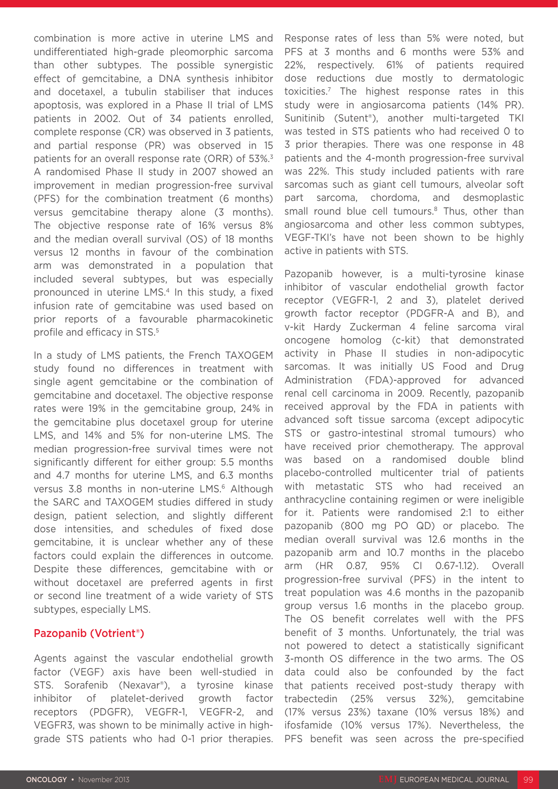combination is more active in uterine LMS and undifferentiated high-grade pleomorphic sarcoma than other subtypes. The possible synergistic effect of gemcitabine, a DNA synthesis inhibitor and docetaxel, a tubulin stabiliser that induces apoptosis, was explored in a Phase II trial of LMS patients in 2002. Out of 34 patients enrolled, complete response (CR) was observed in 3 patients, and partial response (PR) was observed in 15 patients for an overall response rate (ORR) of 53%.<sup>3</sup> A randomised Phase II study in 2007 showed an improvement in median progression-free survival (PFS) for the combination treatment (6 months) versus gemcitabine therapy alone (3 months). The objective response rate of 16% versus 8% and the median overall survival (OS) of 18 months versus 12 months in favour of the combination arm was demonstrated in a population that included several subtypes, but was especially pronounced in uterine LMS.4 In this study, a fixed infusion rate of gemcitabine was used based on prior reports of a favourable pharmacokinetic profile and efficacy in STS.5

In a study of LMS patients, the French TAXOGEM study found no differences in treatment with single agent gemcitabine or the combination of gemcitabine and docetaxel. The objective response rates were 19% in the gemcitabine group, 24% in the gemcitabine plus docetaxel group for uterine LMS, and 14% and 5% for non-uterine LMS. The median progression-free survival times were not significantly different for either group: 5.5 months and 4.7 months for uterine LMS, and 6.3 months versus 3.8 months in non-uterine LMS.<sup>6</sup> Although the SARC and TAXOGEM studies differed in study design, patient selection, and slightly different dose intensities, and schedules of fixed dose gemcitabine, it is unclear whether any of these factors could explain the differences in outcome. Despite these differences, gemcitabine with or without docetaxel are preferred agents in first or second line treatment of a wide variety of STS subtypes, especially LMS.

#### Pazopanib (Votrient®)

Agents against the vascular endothelial growth factor (VEGF) axis have been well-studied in STS. Sorafenib (Nexavar®), a tyrosine kinase inhibitor of platelet-derived growth factor receptors (PDGFR), VEGFR-1, VEGFR-2, and VEGFR3, was shown to be minimally active in highgrade STS patients who had 0-1 prior therapies.

Response rates of less than 5% were noted, but PFS at 3 months and 6 months were 53% and 22%, respectively. 61% of patients required dose reductions due mostly to dermatologic toxicities.7 The highest response rates in this study were in angiosarcoma patients (14% PR). Sunitinib (Sutent®), another multi-targeted TKI was tested in STS patients who had received 0 to 3 prior therapies. There was one response in 48 patients and the 4-month progression-free survival was 22%. This study included patients with rare sarcomas such as giant cell tumours, alveolar soft part sarcoma, chordoma, and desmoplastic small round blue cell tumours.<sup>8</sup> Thus, other than angiosarcoma and other less common subtypes, VEGF-TKI's have not been shown to be highly active in patients with STS.

Pazopanib however, is a multi-tyrosine kinase inhibitor of vascular endothelial growth factor receptor (VEGFR-1, 2 and 3), platelet derived growth factor receptor (PDGFR-A and B), and v-kit Hardy Zuckerman 4 feline sarcoma viral oncogene homolog (c-kit) that demonstrated activity in Phase II studies in non-adipocytic sarcomas. It was initially US Food and Drug Administration (FDA)-approved for advanced renal cell carcinoma in 2009. Recently, pazopanib received approval by the FDA in patients with advanced soft tissue sarcoma (except adipocytic STS or gastro-intestinal stromal tumours) who have received prior chemotherapy. The approval was based on a randomised double blind placebo-controlled multicenter trial of patients with metastatic STS who had received an anthracycline containing regimen or were ineligible for it. Patients were randomised 2:1 to either pazopanib (800 mg PO QD) or placebo. The median overall survival was 12.6 months in the pazopanib arm and 10.7 months in the placebo arm (HR 0.87, 95% CI 0.67-1.12). Overall progression-free survival (PFS) in the intent to treat population was 4.6 months in the pazopanib group versus 1.6 months in the placebo group. The OS benefit correlates well with the PFS benefit of 3 months. Unfortunately, the trial was not powered to detect a statistically significant 3-month OS difference in the two arms. The OS data could also be confounded by the fact that patients received post-study therapy with trabectedin (25% versus 32%), gemcitabine (17% versus 23%) taxane (10% versus 18%) and ifosfamide (10% versus 17%). Nevertheless, the PFS benefit was seen across the pre-specified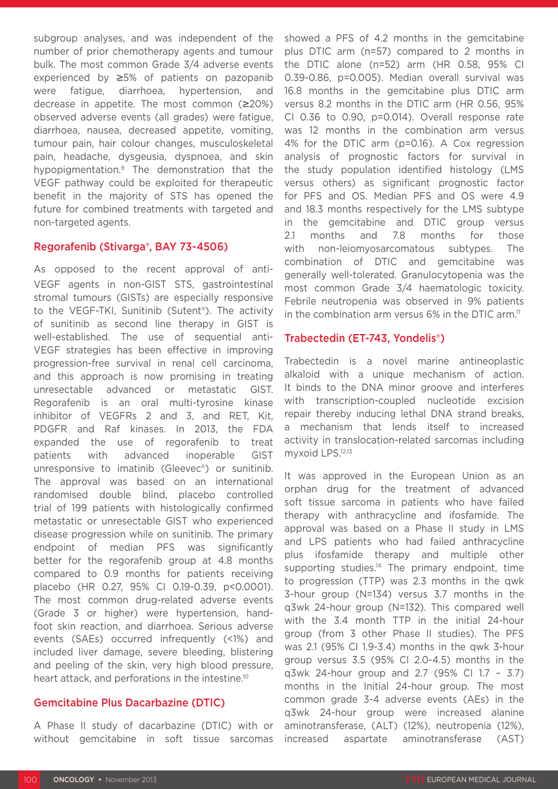subgroup analyses, and was independent of the number of prior chemotherapy agents and tumour bulk. The most common Grade 3/4 adverse events experienced by ≥5% of patients on pazopanib were fatigue, diarrhoea, hypertension, and decrease in appetite. The most common (≥20%) observed adverse events (all grades) were fatigue, diarrhoea, nausea, decreased appetite, vomiting, tumour pain, hair colour changes, musculoskeletal pain, headache, dysgeusia, dyspnoea, and skin hypopigmentation.9 The demonstration that the VEGF pathway could be exploited for therapeutic benefit in the majority of STS has opened the future for combined treatments with targeted and non-targeted agents.

#### Regorafenib (Stivarga®, BAY 73-4506)

As opposed to the recent approval of anti-VEGF agents in non-GIST STS, gastrointestinal stromal tumours (GISTs) are especially responsive to the VEGF-TKI, Sunitinib (Sutent®). The activity of sunitinib as second line therapy in GIST is well-established. The use of sequential anti-VEGF strategies has been effective in improving progression-free survival in renal cell carcinoma, and this approach is now promising in treating unresectable advanced or metastatic GIST. Regorafenib is an oral multi-tyrosine kinase inhibitor of VEGFRs 2 and 3, and RET, Kit, PDGFR and Raf kinases. In 2013, the FDA expanded the use of regorafenib to treat patients with advanced inoperable GIST unresponsive to imatinib (Gleevec®) or sunitinib. The approval was based on an international randomised double blind, placebo controlled trial of 199 patients with histologically confirmed metastatic or unresectable GIST who experienced disease progression while on sunitinib. The primary endpoint of median PFS was significantly better for the regorafenib group at 4.8 months compared to 0.9 months for patients receiving placebo (HR 0.27, 95% CI 0.19-0.39, p<0.0001). The most common drug-related adverse events (Grade 3 or higher) were hypertension, handfoot skin reaction, and diarrhoea. Serious adverse events (SAEs) occurred infrequently (<1%) and included liver damage, severe bleeding, blistering and peeling of the skin, very high blood pressure, heart attack, and perforations in the intestine.<sup>10</sup>

#### Gemcitabine Plus Dacarbazine (DTIC)

A Phase II study of dacarbazine (DTIC) with or without gemcitabine in soft tissue sarcomas showed a PFS of 4.2 months in the gemcitabine plus DTIC arm (n=57) compared to 2 months in the DTIC alone (n=52) arm (HR 0.58, 95% CI 0.39-0.86, p=0.005). Median overall survival was 16.8 months in the gemcitabine plus DTIC arm versus 8.2 months in the DTIC arm (HR 0.56, 95% CI 0.36 to 0.90, p=0.014). Overall response rate was 12 months in the combination arm versus 4% for the DTIC arm (p=0.16). A Cox regression analysis of prognostic factors for survival in the study population identified histology (LMS versus others) as significant prognostic factor for PFS and OS. Median PFS and OS were 4.9 and 18.3 months respectively for the LMS subtype in the gemcitabine and DTIC group versus 2.1 months and 7.8 months for those with non-leiomyosarcomatous subtypes. The combination of DTIC and gemcitabine was generally well-tolerated. Granulocytopenia was the most common Grade 3/4 haematologic toxicity. Febrile neutropenia was observed in 9% patients in the combination arm versus  $6\%$  in the DTIC arm.<sup>11</sup>

### Trabectedin (ET-743, Yondelis®)

Trabectedin is a novel marine antineoplastic alkaloid with a unique mechanism of action. It binds to the DNA minor groove and interferes with transcription-coupled nucleotide excision repair thereby inducing lethal DNA strand breaks, a mechanism that lends itself to increased activity in translocation-related sarcomas including myxoid LPS.12,13

It was approved in the European Union as an orphan drug for the treatment of advanced soft tissue sarcoma in patients who have failed therapy with anthracycline and ifosfamide. The approval was based on a Phase II study in LMS and LPS patients who had failed anthracycline plus ifosfamide therapy and multiple other supporting studies. $14$  The primary endpoint, time to progression (TTP) was 2.3 months in the qwk 3-hour group (N=134) versus 3.7 months in the q3wk 24-hour group (N=132). This compared well with the 3.4 month TTP in the initial 24-hour group (from 3 other Phase II studies). The PFS was 2.1 (95% CI 1.9-3.4) months in the qwk 3-hour group versus 3.5 (95% CI 2.0-4.5) months in the q3wk 24-hour group and 2.7 (95% CI 1.7 – 3.7) months in the Initial 24-hour group. The most common grade 3-4 adverse events (AEs) in the q3wk 24-hour group were increased alanine aminotransferase, (ALT) (12%), neutropenia (12%), increased aspartate aminotransferase (AST)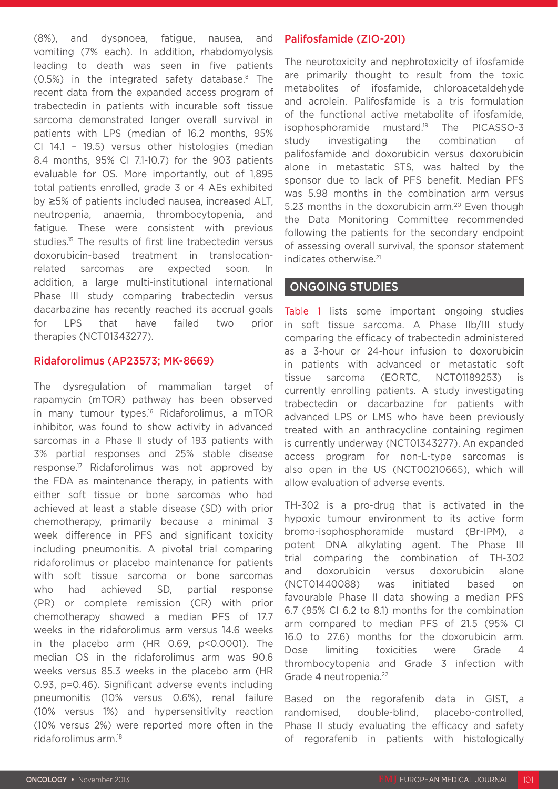(8%), and dyspnoea, fatigue, nausea, and vomiting (7% each). In addition, rhabdomyolysis leading to death was seen in five patients (0.5%) in the integrated safety database.8 The recent data from the expanded access program of trabectedin in patients with incurable soft tissue sarcoma demonstrated longer overall survival in patients with LPS (median of 16.2 months, 95% CI 14.1 – 19.5) versus other histologies (median 8.4 months, 95% CI 7.1-10.7) for the 903 patients evaluable for OS. More importantly, out of 1,895 total patients enrolled, grade 3 or 4 AEs exhibited by ≥5% of patients included nausea, increased ALT, neutropenia, anaemia, thrombocytopenia, and fatigue. These were consistent with previous studies.<sup>15</sup> The results of first line trabectedin versus doxorubicin-based treatment in translocationrelated sarcomas are expected soon. In addition, a large multi-institutional international Phase III study comparing trabectedin versus dacarbazine has recently reached its accrual goals for LPS that have failed two prior therapies (NCT01343277).

#### Ridaforolimus (AP23573; MK-8669)

The dysregulation of mammalian target of rapamycin (mTOR) pathway has been observed in many tumour types.<sup>16</sup> Ridaforolimus, a mTOR inhibitor, was found to show activity in advanced sarcomas in a Phase II study of 193 patients with 3% partial responses and 25% stable disease response.17 Ridaforolimus was not approved by the FDA as maintenance therapy, in patients with either soft tissue or bone sarcomas who had achieved at least a stable disease (SD) with prior chemotherapy, primarily because a minimal 3 week difference in PFS and significant toxicity including pneumonitis. A pivotal trial comparing ridaforolimus or placebo maintenance for patients with soft tissue sarcoma or bone sarcomas who had achieved SD, partial response (PR) or complete remission (CR) with prior chemotherapy showed a median PFS of 17.7 weeks in the ridaforolimus arm versus 14.6 weeks in the placebo arm (HR 0.69, p<0.0001). The median OS in the ridaforolimus arm was 90.6 weeks versus 85.3 weeks in the placebo arm (HR 0.93, p=0.46). Significant adverse events including pneumonitis (10% versus 0.6%), renal failure (10% versus 1%) and hypersensitivity reaction (10% versus 2%) were reported more often in the ridaforolimus arm.18

#### Palifosfamide (ZIO-201)

The neurotoxicity and nephrotoxicity of ifosfamide are primarily thought to result from the toxic metabolites of ifosfamide, chloroacetaldehyde and acrolein. Palifosfamide is a tris formulation of the functional active metabolite of ifosfamide, isophosphoramide mustard.19 The PICASSO-3 study investigating the combination of palifosfamide and doxorubicin versus doxorubicin alone in metastatic STS, was halted by the sponsor due to lack of PFS benefit. Median PFS was 5.98 months in the combination arm versus 5.23 months in the doxorubicin arm.<sup>20</sup> Even though the Data Monitoring Committee recommended following the patients for the secondary endpoint of assessing overall survival, the sponsor statement indicates otherwise.21

### ONGOING STUDIES

Table 1 lists some important ongoing studies in soft tissue sarcoma. A Phase IIb/III study comparing the efficacy of trabectedin administered as a 3-hour or 24-hour infusion to doxorubicin in patients with advanced or metastatic soft tissue sarcoma (EORTC, NCT01189253) is currently enrolling patients. A study investigating trabectedin or dacarbazine for patients with advanced LPS or LMS who have been previously treated with an anthracycline containing regimen is currently underway (NCT01343277). An expanded access program for non-L-type sarcomas is also open in the US (NCT00210665), which will allow evaluation of adverse events.

TH-302 is a pro-drug that is activated in the hypoxic tumour environment to its active form bromo-isophosphoramide mustard (Br-IPM), a potent DNA alkylating agent. The Phase III trial comparing the combination of TH-302 and doxorubicin versus doxorubicin alone (NCT01440088) was initiated based on favourable Phase II data showing a median PFS 6.7 (95% CI 6.2 to 8.1) months for the combination arm compared to median PFS of 21.5 (95% CI 16.0 to 27.6) months for the doxorubicin arm. Dose limiting toxicities were Grade 4 thrombocytopenia and Grade 3 infection with Grade 4 neutropenia.<sup>22</sup>

Based on the regorafenib data in GIST, a randomised, double-blind, placebo-controlled, Phase II study evaluating the efficacy and safety of regorafenib in patients with histologically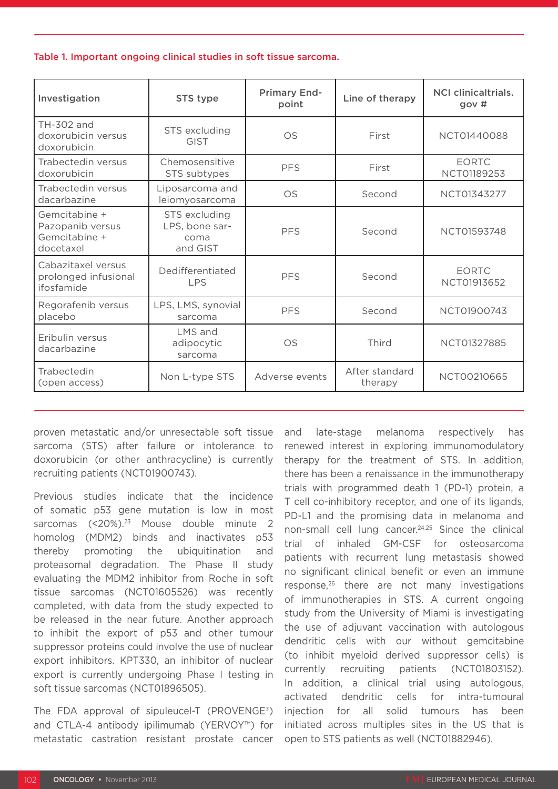#### Table 1. Important ongoing clinical studies in soft tissue sarcoma.

| Investigation                                                   | STS type                                            | <b>Primary End-</b><br>point | Line of therapy           | <b>NCI clinicaltrials.</b><br>gov# |
|-----------------------------------------------------------------|-----------------------------------------------------|------------------------------|---------------------------|------------------------------------|
| TH-302 and<br>doxorubicin versus<br>doxorubicin                 | STS excluding<br><b>GIST</b>                        | <b>OS</b>                    | First                     | NCT01440088                        |
| Trabectedin versus<br>doxorubicin                               | Chemosensitive<br>STS subtypes                      | <b>PFS</b>                   | First                     | <b>EORTC</b><br>NCT01189253        |
| Trabectedin versus<br>dacarbazine                               | Liposarcoma and<br>leiomyosarcoma                   | <b>OS</b>                    | Second                    | NCT01343277                        |
| Gemcitabine +<br>Pazopanib versus<br>Gemcitabine +<br>docetaxel | STS excluding<br>LPS, bone sar-<br>coma<br>and GIST | <b>PFS</b>                   | Second                    | NCT01593748                        |
| Cabazitaxel versus<br>prolonged infusional<br>ifosfamide        | Dedifferentiated<br><b>LPS</b>                      | <b>PFS</b>                   | Second                    | <b>EORTC</b><br>NCT01913652        |
| Regorafenib versus<br>placebo                                   | LPS, LMS, synovial<br>sarcoma                       | <b>PFS</b>                   | Second                    | NCT01900743                        |
| Eribulin versus<br>dacarbazine                                  | LMS and<br>adipocytic<br>sarcoma                    | <b>OS</b>                    | Third                     | NCT01327885                        |
| Trabectedin<br>(open access)                                    | Non L-type STS                                      | Adverse events               | After standard<br>therapy | NCT00210665                        |

proven metastatic and/or unresectable soft tissue sarcoma (STS) after failure or intolerance to doxorubicin (or other anthracycline) is currently recruiting patients (NCT01900743).

Previous studies indicate that the incidence of somatic p53 gene mutation is low in most sarcomas (<20%).<sup>23</sup> Mouse double minute 2 homolog (MDM2) binds and inactivates p53 thereby promoting the ubiquitination and proteasomal degradation. The Phase II study evaluating the MDM2 inhibitor from Roche in soft tissue sarcomas (NCT01605526) was recently completed, with data from the study expected to be released in the near future. Another approach to inhibit the export of p53 and other tumour suppressor proteins could involve the use of nuclear export inhibitors. KPT330, an inhibitor of nuclear export is currently undergoing Phase I testing in soft tissue sarcomas (NCT01896505).

The FDA approval of sipuleucel-T (PROVENGE®) and CTLA-4 antibody ipilimumab (YERVOY™) for metastatic castration resistant prostate cancer

and late-stage melanoma respectively has renewed interest in exploring immunomodulatory therapy for the treatment of STS. In addition, there has been a renaissance in the immunotherapy trials with programmed death 1 (PD-1) protein, a T cell co-inhibitory receptor, and one of its ligands, PD-L1 and the promising data in melanoma and non-small cell lung cancer.24,25 Since the clinical trial of inhaled GM-CSF for osteosarcoma patients with recurrent lung metastasis showed no significant clinical benefit or even an immune response,26 there are not many investigations of immunotherapies in STS. A current ongoing study from the University of Miami is investigating the use of adjuvant vaccination with autologous dendritic cells with our without gemcitabine (to inhibit myeloid derived suppressor cells) is currently recruiting patients (NCT01803152). In addition, a clinical trial using autologous, activated dendritic cells for intra-tumoural injection for all solid tumours has been initiated across multiples sites in the US that is open to STS patients as well (NCT01882946).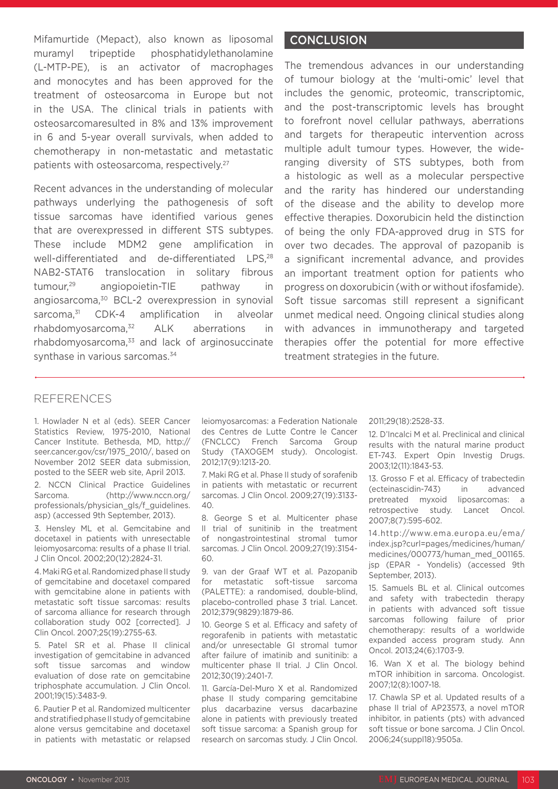Mifamurtide (Mepact), also known as liposomal muramyl tripeptide phosphatidylethanolamine (L-MTP-PE), is an activator of macrophages and monocytes and has been approved for the treatment of osteosarcoma in Europe but not in the USA. The clinical trials in patients with osteosarcomaresulted in 8% and 13% improvement in 6 and 5-year overall survivals, when added to chemotherapy in non-metastatic and metastatic patients with osteosarcoma, respectively.27

Recent advances in the understanding of molecular pathways underlying the pathogenesis of soft tissue sarcomas have identified various genes that are overexpressed in different STS subtypes. These include MDM2 gene amplification in well-differentiated and de-differentiated LPS,<sup>28</sup> NAB2-STAT6 translocation in solitary fibrous tumour,29 angiopoietin-TIE pathway in angiosarcoma,<sup>30</sup> BCL-2 overexpression in synovial sarcoma.<sup>31</sup> CDK-4 amplification in alveolar rhabdomyosarcoma,32 ALK aberrations in rhabdomyosarcoma, $33$  and lack of arginosuccinate synthase in various sarcomas.<sup>34</sup>

#### CONCLUSION

The tremendous advances in our understanding of tumour biology at the 'multi-omic' level that includes the genomic, proteomic, transcriptomic, and the post-transcriptomic levels has brought to forefront novel cellular pathways, aberrations and targets for therapeutic intervention across multiple adult tumour types. However, the wideranging diversity of STS subtypes, both from a histologic as well as a molecular perspective and the rarity has hindered our understanding of the disease and the ability to develop more effective therapies. Doxorubicin held the distinction of being the only FDA-approved drug in STS for over two decades. The approval of pazopanib is a significant incremental advance, and provides an important treatment option for patients who progress on doxorubicin (with or without ifosfamide). Soft tissue sarcomas still represent a significant unmet medical need. Ongoing clinical studies along with advances in immunotherapy and targeted therapies offer the potential for more effective treatment strategies in the future.

#### REFERENCES

1. Howlader N et al (eds). SEER Cancer Statistics Review, 1975-2010, National Cancer Institute. Bethesda, MD, http:// seer.cancer.gov/csr/1975\_2010/, based on November 2012 SEER data submission, posted to the SEER web site, April 2013.

2. NCCN Clinical Practice Guidelines Sarcoma. (http://www.nccn.org/ professionals/physician\_gls/f\_guidelines. asp) (accessed 9th September, 2013).

3. Hensley ML et al. Gemcitabine and docetaxel in patients with unresectable leiomyosarcoma: results of a phase II trial. J Clin Oncol. 2002;20(12):2824-31.

4. Maki RG et al. Randomized phase II study of gemcitabine and docetaxel compared with gemcitabine alone in patients with metastatic soft tissue sarcomas: results of sarcoma alliance for research through collaboration study 002 [corrected]. J Clin Oncol. 2007;25(19):2755-63.

5. Patel SR et al. Phase II clinical investigation of gemcitabine in advanced soft tissue sarcomas and window evaluation of dose rate on gemcitabine triphosphate accumulation. J Clin Oncol. 2001;19(15):3483-9.

6. Pautier P et al. Randomized multicenter and stratified phase II study of gemcitabine alone versus gemcitabine and docetaxel in patients with metastatic or relapsed leiomyosarcomas: a Federation Nationale des Centres de Lutte Contre le Cancer (FNCLCC) French Sarcoma Group Study (TAXOGEM study). Oncologist. 2012;17(9):1213-20.

7. Maki RG et al. Phase II study of sorafenib in patients with metastatic or recurrent sarcomas. J Clin Oncol. 2009;27(19):3133-  $40.$ 

8. George S et al. Multicenter phase II trial of sunitinib in the treatment of nongastrointestinal stromal tumor sarcomas. J Clin Oncol. 2009;27(19):3154-  $60.$ 

9. van der Graaf WT et al. Pazopanib for metastatic soft-tissue sarcoma (PALETTE): a randomised, double-blind, placebo-controlled phase 3 trial. Lancet. 2012;379(9829):1879-86.

10. George S et al. Efficacy and safety of regorafenib in patients with metastatic and/or unresectable GI stromal tumor after failure of imatinib and sunitinib: a multicenter phase II trial. J Clin Oncol. 2012;30(19):2401-7.

11. García-Del-Muro X et al. Randomized phase II study comparing gemcitabine plus dacarbazine versus dacarbazine alone in patients with previously treated soft tissue sarcoma: a Spanish group for research on sarcomas study. J Clin Oncol.

#### 2011;29(18):2528-33.

12. D'Incalci M et al. Preclinical and clinical results with the natural marine product ET-743. Expert Opin Investig Drugs. 2003;12(11):1843-53.

13. Grosso F et al. Efficacy of trabectedin (ecteinascidin-743) in advanced pretreated myxoid liposarcomas: a retrospective study. Lancet Oncol. 2007;8(7):595-602.

14.http://www.ema.europa.eu/ema/ index.jsp?curl=pages/medicines/human/ medicines/000773/human\_med\_001165. jsp (EPAR - Yondelis) (accessed 9th September, 2013).

15. Samuels BL et al. Clinical outcomes and safety with trabectedin therapy in patients with advanced soft tissue sarcomas following failure of prior chemotherapy: results of a worldwide expanded access program study. Ann Oncol. 2013;24(6):1703-9.

16. Wan X et al. The biology behind mTOR inhibition in sarcoma. Oncologist. 2007;12(8):1007-18.

17. Chawla SP et al. Updated results of a phase II trial of AP23573, a novel mTOR inhibitor, in patients (pts) with advanced soft tissue or bone sarcoma. J Clin Oncol. 2006;24(suppl18):9505a.